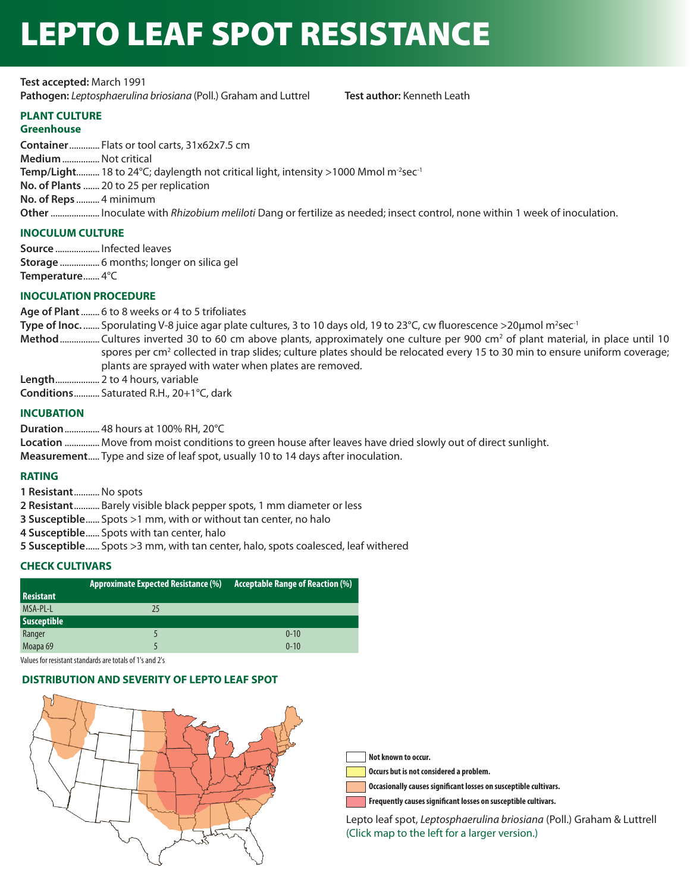# LEPTO LEAF SPOT RESISTANCE

**Test accepted:** March 1991 **Pathogen:** *Leptosphaerulina briosiana* (Poll.) Graham and Luttrel **Test author:** Kenneth Leath

# **PLANT CULTURE**

## **Greenhouse**

**Container** ............. Flats or tool carts, 31x62x7.5 cm **Medium** ................Not critical **Temp/Light..........** 18 to 24°C; daylength not critical light, intensity >1000 Mmol m<sup>-2</sup>sec<sup>-1</sup> **No. of Plants** ....... 20 to 25 per replication **No. of Reps** .......... 4 minimum **Other** ..................... Inoculate with *Rhizobium meliloti* Dang or fertilize as needed; insect control, none within 1 week of inoculation.

## **INOCULUM CULTURE**

**Source** ................... Infected leaves **Storage** ................. 6 months; longer on silica gel **Temperature** ....... 4°C

## **INOCULATION PROCEDURE**

**Age of Plant** ........ 6 to 8 weeks or 4 to 5 trifoliates **Type of Inoc.** ....... Sporulating V-8 juice agar plate cultures, 3 to 10 days old, 19 to 23°C, cw fluorescence >20μmol m²sec<sup>-1</sup> Method ................. Cultures inverted 30 to 60 cm above plants, approximately one culture per 900 cm<sup>2</sup> of plant material, in place until 10 spores per cm<sup>2</sup> collected in trap slides; culture plates should be relocated every 15 to 30 min to ensure uniform coverage; plants are sprayed with water when plates are removed. **Length** ................... 2 to 4 hours, variable

**Conditions** ........... Saturated R.H., 20+1°C, dark

## **INCUBATION**

**Duration** ............... 48 hours at 100% RH, 20°C

**Location** ............... Move from moist conditions to green house after leaves have dried slowly out of direct sunlight.

**Measurement** ..... Type and size of leaf spot, usually 10 to 14 days after inoculation.

## **RATING**

- **1 Resistant** ...........No spots
- **2 Resistant** ........... Barely visible black pepper spots, 1 mm diameter or less
- **3 Susceptible** ...... Spots >1 mm, with or without tan center, no halo
- **4 Susceptible** ...... Spots with tan center, halo
- **5 Susceptible** ...... Spots >3 mm, with tan center, halo, spots coalesced, leaf withered

## **CHECK CULTIVARS**

|                     | Approximate Expected Resistance (%) | <b>Acceptable Range of Reaction (%)</b> |
|---------------------|-------------------------------------|-----------------------------------------|
| <b>Resistant</b>    |                                     |                                         |
| MSA-PL-L            | 25                                  |                                         |
| Susceptible         |                                     |                                         |
| Ranger              |                                     | $0 - 10$                                |
| Moapa <sub>69</sub> |                                     | $0 - 10$                                |

Values for resistant standards are totals of 1's and 2's

#### **DISTRIBUTION AND SEVERITY OF LEPTO LEAF SPOT**



**Not known to occur.**

**Occurs but is not considered a problem.**

**Occasionally causes significant losses on susceptible cultivars.**

**Frequently causes significant losses on susceptible cultivars.**

Lepto leaf spot, *Leptosphaerulina briosiana* (Poll.) Graham & Luttrell (Click map to the left for a larger version.)